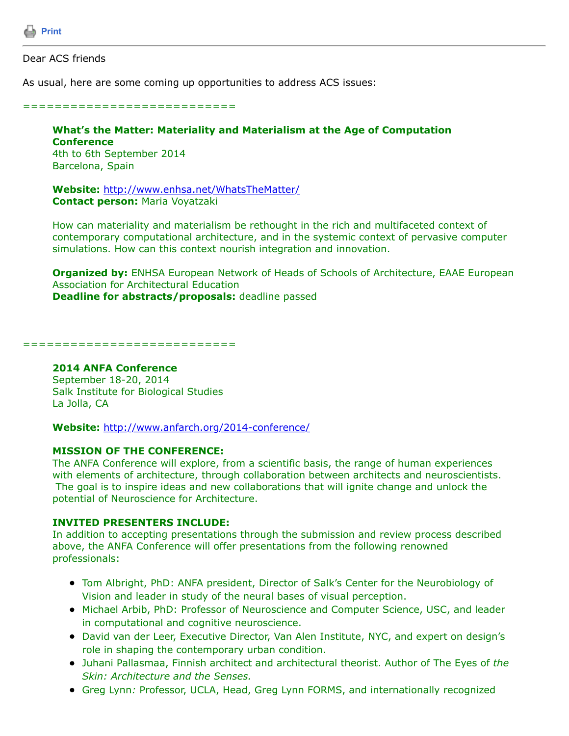

## Dear ACS friends

As usual, here are some coming up opportunities to address ACS issues:

#### ===========================

# **What's the Matter: Materiality and Materialism at the Age of Computation Conference** 4th to 6th September 2014

Barcelona, Spain

**Website:** <http://www.enhsa.net/WhatsTheMatter/> **Contact person:** Maria Voyatzaki

How can materiality and materialism be rethought in the rich and multifaceted context of contemporary computational architecture, and in the systemic context of pervasive computer simulations. How can this context nourish integration and innovation.

**Organized by:** ENHSA European Network of Heads of Schools of Architecture, EAAE European Association for Architectural Education **Deadline for abstracts/proposals:** deadline passed

===========================

#### **2014 ANFA Conference**

September 18-20, 2014 Salk Institute for Biological Studies La Jolla, CA

**Website:** <http://www.anfarch.org/2014-conference/>

### **MISSION OF THE CONFERENCE:**

The ANFA Conference will explore, from a scientific basis, the range of human experiences with elements of architecture, through collaboration between architects and neuroscientists. The goal is to inspire ideas and new collaborations that will ignite change and unlock the potential of Neuroscience for Architecture.

### **INVITED PRESENTERS INCLUDE:**

In addition to accepting presentations through the submission and review process described above, the ANFA Conference will offer presentations from the following renowned professionals:

- Tom Albright, PhD: ANFA president, Director of Salk's Center for the Neurobiology of Vision and leader in study of the neural bases of visual perception.
- Michael Arbib, PhD: Professor of Neuroscience and Computer Science, USC, and leader in computational and cognitive neuroscience.
- David van der Leer, Executive Director, Van Alen Institute, NYC, and expert on design's role in shaping the contemporary urban condition.
- Juhani Pallasmaa, Finnish architect and architectural theorist. Author of The Eyes of *the Skin: Architecture and the Senses.*
- Greg Lynn*:* Professor, UCLA, Head, Greg Lynn FORMS, and internationally recognized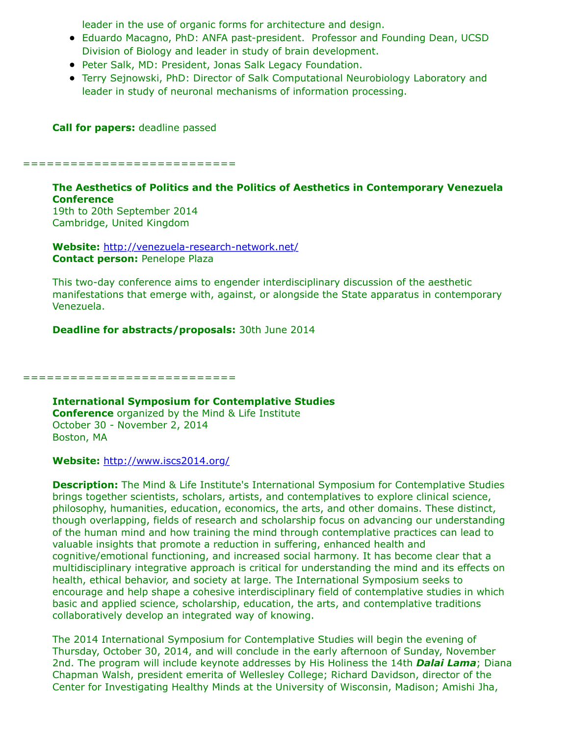leader in the use of organic forms for architecture and design.

- Eduardo Macagno, PhD: ANFA past-president. Professor and Founding Dean, UCSD Division of Biology and leader in study of brain development.
- Peter Salk, MD: President, Jonas Salk Legacy Foundation.
- Terry Sejnowski, PhD: Director of Salk Computational Neurobiology Laboratory and leader in study of neuronal mechanisms of information processing.

**Call for papers:** deadline passed

===========================

# **The Aesthetics of Politics and the Politics of Aesthetics in Contemporary Venezuela Conference**

19th to 20th September 2014 Cambridge, United Kingdom

**Website:** <http://venezuela-research-network.net/> **Contact person: Penelope Plaza** 

This two-day conference aims to engender interdisciplinary discussion of the aesthetic manifestations that emerge with, against, or alongside the State apparatus in contemporary Venezuela.

**Deadline for abstracts/proposals:** 30th June 2014

===========================

**International Symposium for Contemplative Studies Conference** organized by the Mind & Life Institute October 30 - November 2, 2014 Boston, MA

**Website:** <http://www.iscs2014.org/>

**Description:** The Mind & Life Institute's International Symposium for Contemplative Studies brings together scientists, scholars, artists, and contemplatives to explore clinical science, philosophy, humanities, education, economics, the arts, and other domains. These distinct, though overlapping, fields of research and scholarship focus on advancing our understanding of the human mind and how training the mind through contemplative practices can lead to valuable insights that promote a reduction in suffering, enhanced health and cognitive/emotional functioning, and increased social harmony. It has become clear that a multidisciplinary integrative approach is critical for understanding the mind and its effects on health, ethical behavior, and society at large. The International Symposium seeks to encourage and help shape a cohesive interdisciplinary field of contemplative studies in which basic and applied science, scholarship, education, the arts, and contemplative traditions collaboratively develop an integrated way of knowing.

The 2014 International Symposium for Contemplative Studies will begin the evening of Thursday, October 30, 2014, and will conclude in the early afternoon of Sunday, November 2nd. The program will include keynote addresses by His Holiness the 14th *Dalai Lama*; Diana Chapman Walsh, president emerita of Wellesley College; Richard Davidson, director of the Center for Investigating Healthy Minds at the University of Wisconsin, Madison; Amishi Jha,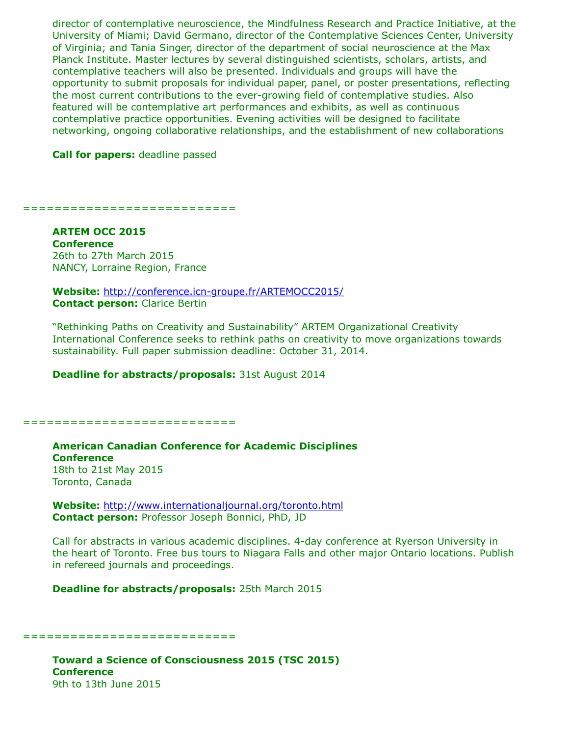director of contemplative neuroscience, the Mindfulness Research and Practice Initiative, at the University of Miami; David Germano, director of the Contemplative Sciences Center, University of Virginia; and Tania Singer, director of the department of social neuroscience at the Max Planck Institute. Master lectures by several distinguished scientists, scholars, artists, and contemplative teachers will also be presented. Individuals and groups will have the opportunity to submit proposals for individual paper, panel, or poster presentations, reflecting the most current contributions to the ever-growing field of contemplative studies. Also featured will be contemplative art performances and exhibits, as well as continuous contemplative practice opportunities. Evening activities will be designed to facilitate networking, ongoing collaborative relationships, and the establishment of new collaborations

**Call for papers:** deadline passed

==============================

**ARTEM OCC 2015 Conference** 26th to 27th March 2015 NANCY, Lorraine Region, France

**Website:** <http://conference.icn-groupe.fr/ARTEMOCC2015/> **Contact person:** Clarice Bertin

"Rethinking Paths on Creativity and Sustainability" ARTEM Organizational Creativity International Conference seeks to rethink paths on creativity to move organizations towards sustainability. Full paper submission deadline: October 31, 2014.

**Deadline for abstracts/proposals:** 31st August 2014

===========================

**American Canadian Conference for Academic Disciplines Conference** 18th to 21st May 2015 Toronto, Canada

**Website:** <http://www.internationaljournal.org/toronto.html> **Contact person:** Professor Joseph Bonnici, PhD, JD

Call for abstracts in various academic disciplines. 4-day conference at Ryerson University in the heart of Toronto. Free bus tours to Niagara Falls and other major Ontario locations. Publish in refereed journals and proceedings.

**Deadline for abstracts/proposals:** 25th March 2015

===========================

**Toward a Science of Consciousness 2015 (TSC 2015) Conference** 9th to 13th June 2015